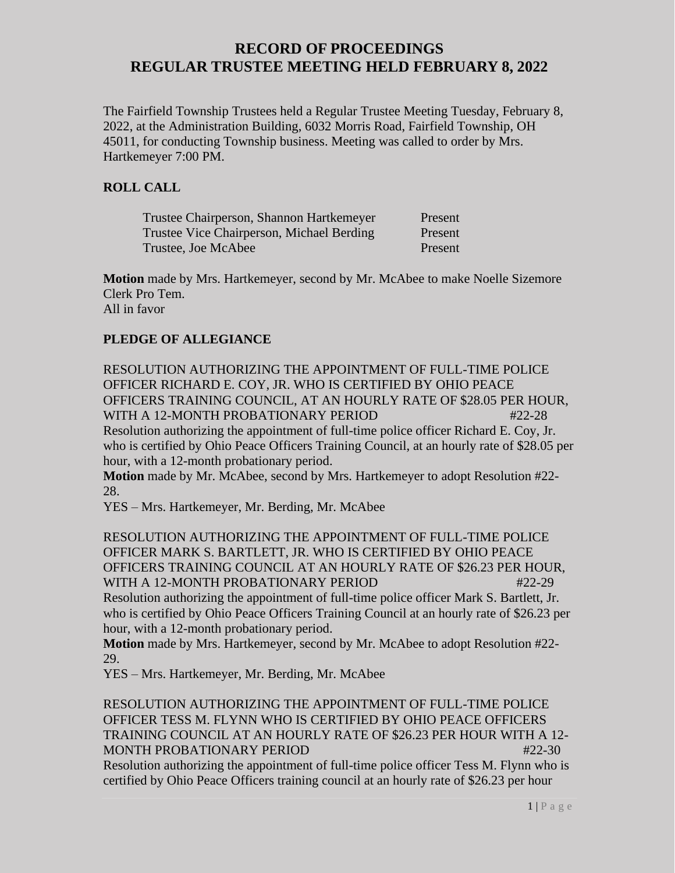The Fairfield Township Trustees held a Regular Trustee Meeting Tuesday, February 8, 2022, at the Administration Building, 6032 Morris Road, Fairfield Township, OH 45011, for conducting Township business. Meeting was called to order by Mrs. Hartkemeyer 7:00 PM.

#### **ROLL CALL**

| Trustee Chairperson, Shannon Hartkemeyer  | Present |
|-------------------------------------------|---------|
| Trustee Vice Chairperson, Michael Berding | Present |
| Trustee, Joe McAbee                       | Present |

**Motion** made by Mrs. Hartkemeyer, second by Mr. McAbee to make Noelle Sizemore Clerk Pro Tem. All in favor

### **PLEDGE OF ALLEGIANCE**

RESOLUTION AUTHORIZING THE APPOINTMENT OF FULL-TIME POLICE OFFICER RICHARD E. COY, JR. WHO IS CERTIFIED BY OHIO PEACE OFFICERS TRAINING COUNCIL, AT AN HOURLY RATE OF \$28.05 PER HOUR, WITH A 12-MONTH PROBATIONARY PERIOD  $#22-28$ 

Resolution authorizing the appointment of full-time police officer Richard E. Coy, Jr. who is certified by Ohio Peace Officers Training Council, at an hourly rate of \$28.05 per hour, with a 12-month probationary period.

**Motion** made by Mr. McAbee, second by Mrs. Hartkemeyer to adopt Resolution #22- 28.

YES – Mrs. Hartkemeyer, Mr. Berding, Mr. McAbee

RESOLUTION AUTHORIZING THE APPOINTMENT OF FULL-TIME POLICE OFFICER MARK S. BARTLETT, JR. WHO IS CERTIFIED BY OHIO PEACE OFFICERS TRAINING COUNCIL AT AN HOURLY RATE OF \$26.23 PER HOUR, WITH A 12-MONTH PROBATIONARY PERIOD #22-29

Resolution authorizing the appointment of full-time police officer Mark S. Bartlett, Jr. who is certified by Ohio Peace Officers Training Council at an hourly rate of \$26.23 per hour, with a 12-month probationary period.

**Motion** made by Mrs. Hartkemeyer, second by Mr. McAbee to adopt Resolution #22- 29.

YES – Mrs. Hartkemeyer, Mr. Berding, Mr. McAbee

RESOLUTION AUTHORIZING THE APPOINTMENT OF FULL-TIME POLICE OFFICER TESS M. FLYNN WHO IS CERTIFIED BY OHIO PEACE OFFICERS TRAINING COUNCIL AT AN HOURLY RATE OF \$26.23 PER HOUR WITH A 12- MONTH PROBATIONARY PERIOD #22-30

Resolution authorizing the appointment of full-time police officer Tess M. Flynn who is certified by Ohio Peace Officers training council at an hourly rate of \$26.23 per hour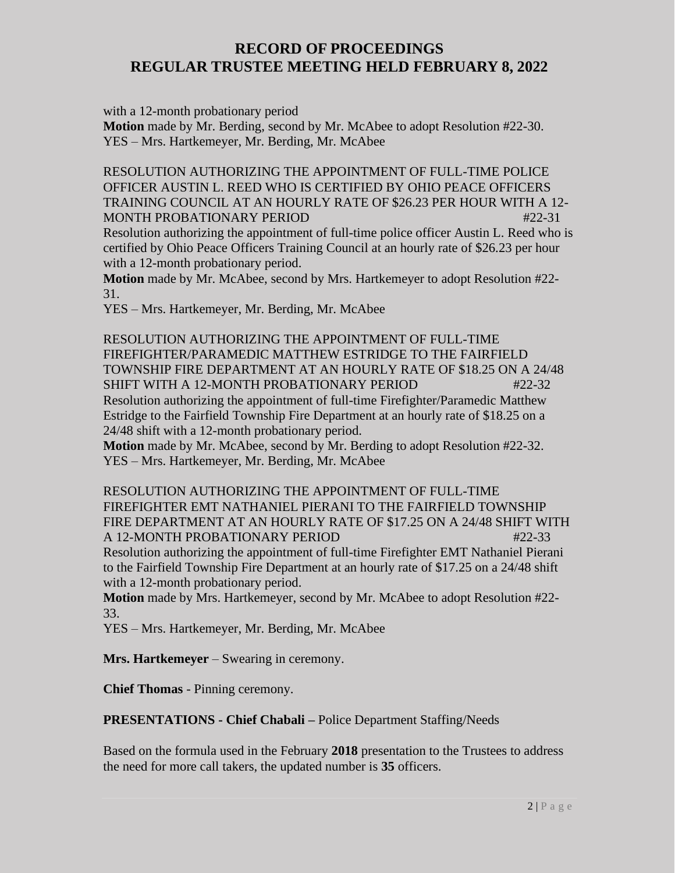with a 12-month probationary period

**Motion** made by Mr. Berding, second by Mr. McAbee to adopt Resolution #22-30. YES – Mrs. Hartkemeyer, Mr. Berding, Mr. McAbee

RESOLUTION AUTHORIZING THE APPOINTMENT OF FULL-TIME POLICE OFFICER AUSTIN L. REED WHO IS CERTIFIED BY OHIO PEACE OFFICERS TRAINING COUNCIL AT AN HOURLY RATE OF \$26.23 PER HOUR WITH A 12- MONTH PROBATIONARY PERIOD #22-31

Resolution authorizing the appointment of full-time police officer Austin L. Reed who is certified by Ohio Peace Officers Training Council at an hourly rate of \$26.23 per hour with a 12-month probationary period.

**Motion** made by Mr. McAbee, second by Mrs. Hartkemeyer to adopt Resolution #22- 31.

YES – Mrs. Hartkemeyer, Mr. Berding, Mr. McAbee

RESOLUTION AUTHORIZING THE APPOINTMENT OF FULL-TIME FIREFIGHTER/PARAMEDIC MATTHEW ESTRIDGE TO THE FAIRFIELD TOWNSHIP FIRE DEPARTMENT AT AN HOURLY RATE OF \$18.25 ON A 24/48 SHIFT WITH A 12-MONTH PROBATIONARY PERIOD  $#22-32$ Resolution authorizing the appointment of full-time Firefighter/Paramedic Matthew Estridge to the Fairfield Township Fire Department at an hourly rate of \$18.25 on a 24/48 shift with a 12-month probationary period.

**Motion** made by Mr. McAbee, second by Mr. Berding to adopt Resolution #22-32. YES – Mrs. Hartkemeyer, Mr. Berding, Mr. McAbee

RESOLUTION AUTHORIZING THE APPOINTMENT OF FULL-TIME FIREFIGHTER EMT NATHANIEL PIERANI TO THE FAIRFIELD TOWNSHIP FIRE DEPARTMENT AT AN HOURLY RATE OF \$17.25 ON A 24/48 SHIFT WITH A 12-MONTH PROBATIONARY PERIOD **#22-33** 

Resolution authorizing the appointment of full-time Firefighter EMT Nathaniel Pierani to the Fairfield Township Fire Department at an hourly rate of \$17.25 on a 24/48 shift with a 12-month probationary period.

**Motion** made by Mrs. Hartkemeyer, second by Mr. McAbee to adopt Resolution #22- 33.

YES – Mrs. Hartkemeyer, Mr. Berding, Mr. McAbee

**Mrs. Hartkemeyer** – Swearing in ceremony.

**Chief Thomas** - Pinning ceremony.

**PRESENTATIONS - Chief Chabali –** Police Department Staffing/Needs

Based on the formula used in the February **2018** presentation to the Trustees to address the need for more call takers, the updated number is **35** officers.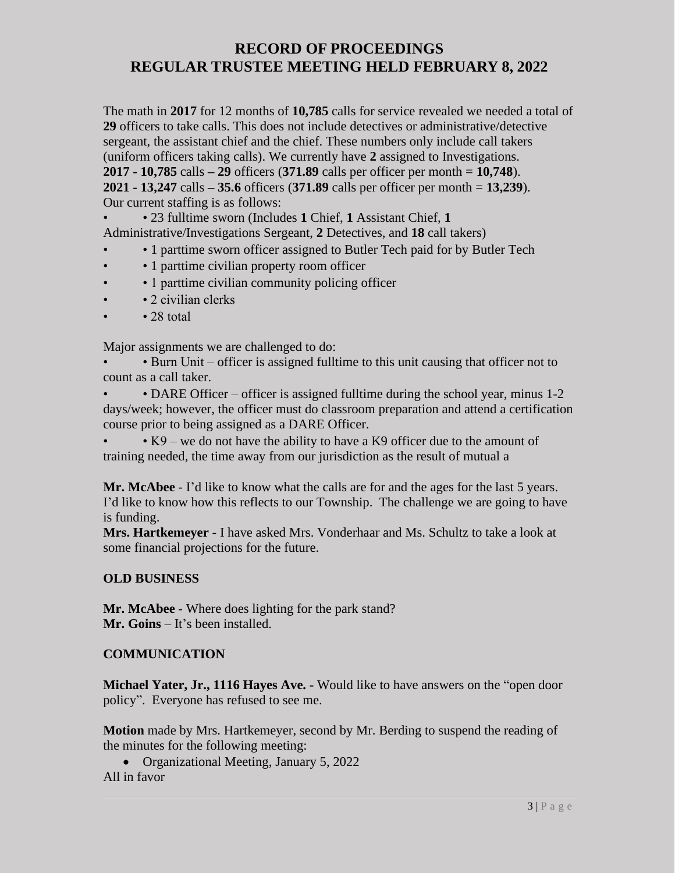The math in **2017** for 12 months of **10,785** calls for service revealed we needed a total of **29** officers to take calls. This does not include detectives or administrative/detective sergeant, the assistant chief and the chief. These numbers only include call takers (uniform officers taking calls). We currently have **2** assigned to Investigations. **2017 - 10,785** calls **– 29** officers (**371.89** calls per officer per month = **10,748**). **2021 - 13,247** calls **– 35.6** officers (**371.89** calls per officer per month = **13,239**). Our current staffing is as follows:

• • 23 fulltime sworn (Includes **1** Chief, **1** Assistant Chief, **1** 

Administrative/Investigations Sergeant, **2** Detectives, and **18** call takers)

- • 1 parttime sworn officer assigned to Butler Tech paid for by Butler Tech
- • 1 parttime civilian property room officer
- 1 parttime civilian community policing officer
- 2 civilian clerks
- $\cdot$  28 total

Major assignments we are challenged to do:

• • Burn Unit – officer is assigned fulltime to this unit causing that officer not to count as a call taker.

• DARE Officer – officer is assigned fulltime during the school year, minus 1-2 days/week; however, the officer must do classroom preparation and attend a certification course prior to being assigned as a DARE Officer.

• K9 – we do not have the ability to have a K9 officer due to the amount of training needed, the time away from our jurisdiction as the result of mutual a

Mr. McAbee - I'd like to know what the calls are for and the ages for the last 5 years. I'd like to know how this reflects to our Township. The challenge we are going to have is funding.

**Mrs. Hartkemeyer** - I have asked Mrs. Vonderhaar and Ms. Schultz to take a look at some financial projections for the future.

### **OLD BUSINESS**

**Mr. McAbee** - Where does lighting for the park stand? **Mr. Goins** – It's been installed.

### **COMMUNICATION**

**Michael Yater, Jr., 1116 Hayes Ave. -** Would like to have answers on the "open door policy". Everyone has refused to see me.

**Motion** made by Mrs. Hartkemeyer, second by Mr. Berding to suspend the reading of the minutes for the following meeting:

• Organizational Meeting, January 5, 2022 All in favor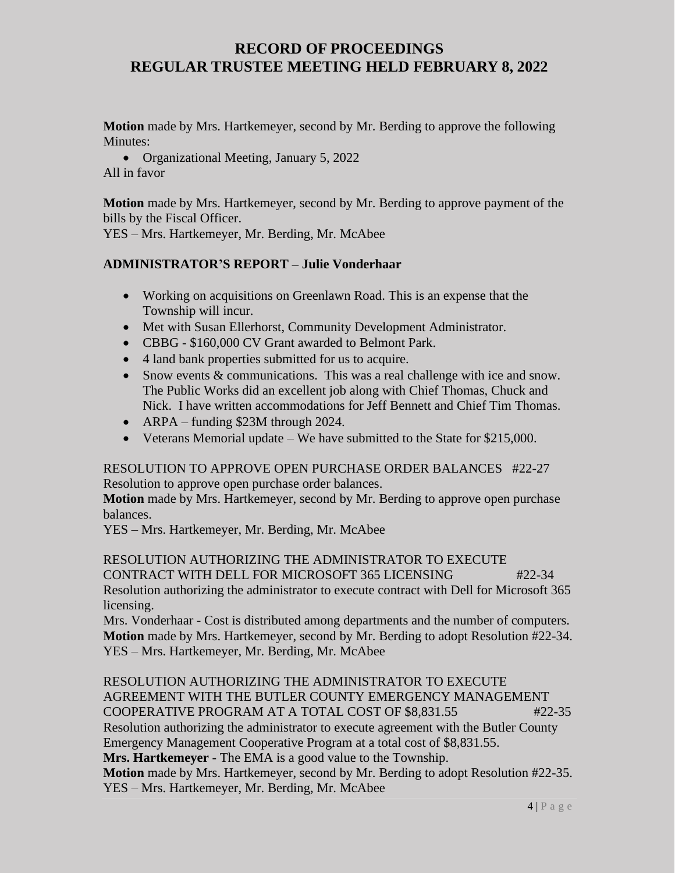**Motion** made by Mrs. Hartkemeyer, second by Mr. Berding to approve the following Minutes:

• Organizational Meeting, January 5, 2022 All in favor

**Motion** made by Mrs. Hartkemeyer, second by Mr. Berding to approve payment of the bills by the Fiscal Officer.

YES – Mrs. Hartkemeyer, Mr. Berding, Mr. McAbee

#### **ADMINISTRATOR'S REPORT – Julie Vonderhaar**

- Working on acquisitions on Greenlawn Road. This is an expense that the Township will incur.
- Met with Susan Ellerhorst, Community Development Administrator.
- CBBG \$160,000 CV Grant awarded to Belmont Park.
- 4 land bank properties submitted for us to acquire.
- Snow events & communications. This was a real challenge with ice and snow. The Public Works did an excellent job along with Chief Thomas, Chuck and Nick. I have written accommodations for Jeff Bennett and Chief Tim Thomas.
- ARPA funding \$23M through 2024.
- Veterans Memorial update We have submitted to the State for \$215,000.

#### RESOLUTION TO APPROVE OPEN PURCHASE ORDER BALANCES #22-27 Resolution to approve open purchase order balances.

**Motion** made by Mrs. Hartkemeyer, second by Mr. Berding to approve open purchase balances.

YES – Mrs. Hartkemeyer, Mr. Berding, Mr. McAbee

RESOLUTION AUTHORIZING THE ADMINISTRATOR TO EXECUTE CONTRACT WITH DELL FOR MICROSOFT 365 LICENSING #22-34 Resolution authorizing the administrator to execute contract with Dell for Microsoft 365 licensing.

Mrs. Vonderhaar - Cost is distributed among departments and the number of computers. **Motion** made by Mrs. Hartkemeyer, second by Mr. Berding to adopt Resolution #22-34. YES – Mrs. Hartkemeyer, Mr. Berding, Mr. McAbee

RESOLUTION AUTHORIZING THE ADMINISTRATOR TO EXECUTE AGREEMENT WITH THE BUTLER COUNTY EMERGENCY MANAGEMENT COOPERATIVE PROGRAM AT A TOTAL COST OF \$8,831.55 #22-35 Resolution authorizing the administrator to execute agreement with the Butler County Emergency Management Cooperative Program at a total cost of \$8,831.55. **Mrs. Hartkemeyer** - The EMA is a good value to the Township. **Motion** made by Mrs. Hartkemeyer, second by Mr. Berding to adopt Resolution #22-35. YES – Mrs. Hartkemeyer, Mr. Berding, Mr. McAbee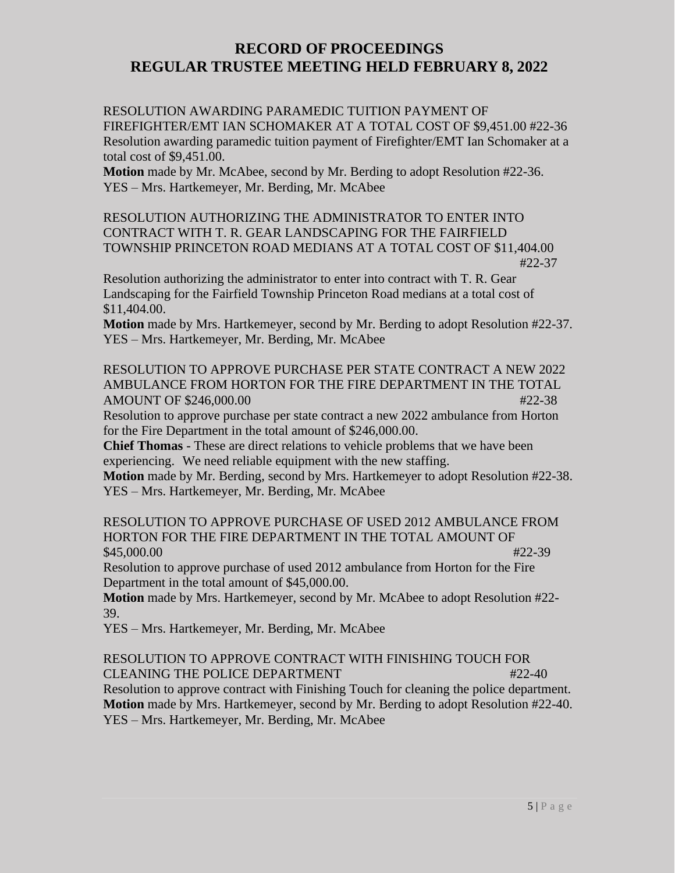RESOLUTION AWARDING PARAMEDIC TUITION PAYMENT OF FIREFIGHTER/EMT IAN SCHOMAKER AT A TOTAL COST OF \$9,451.00 #22-36 Resolution awarding paramedic tuition payment of Firefighter/EMT Ian Schomaker at a total cost of \$9,451.00.

**Motion** made by Mr. McAbee, second by Mr. Berding to adopt Resolution #22-36. YES – Mrs. Hartkemeyer, Mr. Berding, Mr. McAbee

RESOLUTION AUTHORIZING THE ADMINISTRATOR TO ENTER INTO CONTRACT WITH T. R. GEAR LANDSCAPING FOR THE FAIRFIELD TOWNSHIP PRINCETON ROAD MEDIANS AT A TOTAL COST OF \$11,404.00 #22-37

Resolution authorizing the administrator to enter into contract with T. R. Gear Landscaping for the Fairfield Township Princeton Road medians at a total cost of \$11,404.00.

**Motion** made by Mrs. Hartkemeyer, second by Mr. Berding to adopt Resolution #22-37. YES – Mrs. Hartkemeyer, Mr. Berding, Mr. McAbee

RESOLUTION TO APPROVE PURCHASE PER STATE CONTRACT A NEW 2022 AMBULANCE FROM HORTON FOR THE FIRE DEPARTMENT IN THE TOTAL AMOUNT OF \$246,000.00 #22-38

Resolution to approve purchase per state contract a new 2022 ambulance from Horton for the Fire Department in the total amount of \$246,000.00.

**Chief Thomas** - These are direct relations to vehicle problems that we have been experiencing. We need reliable equipment with the new staffing.

**Motion** made by Mr. Berding, second by Mrs. Hartkemeyer to adopt Resolution #22-38. YES – Mrs. Hartkemeyer, Mr. Berding, Mr. McAbee

RESOLUTION TO APPROVE PURCHASE OF USED 2012 AMBULANCE FROM HORTON FOR THE FIRE DEPARTMENT IN THE TOTAL AMOUNT OF  $$45,000.00$   $#22-39$ 

Resolution to approve purchase of used 2012 ambulance from Horton for the Fire Department in the total amount of \$45,000.00.

**Motion** made by Mrs. Hartkemeyer, second by Mr. McAbee to adopt Resolution #22- 39.

YES – Mrs. Hartkemeyer, Mr. Berding, Mr. McAbee

RESOLUTION TO APPROVE CONTRACT WITH FINISHING TOUCH FOR CLEANING THE POLICE DEPARTMENT **All the set of the set of the set of the set of the set of the set of the set o** Resolution to approve contract with Finishing Touch for cleaning the police department.

**Motion** made by Mrs. Hartkemeyer, second by Mr. Berding to adopt Resolution #22-40. YES – Mrs. Hartkemeyer, Mr. Berding, Mr. McAbee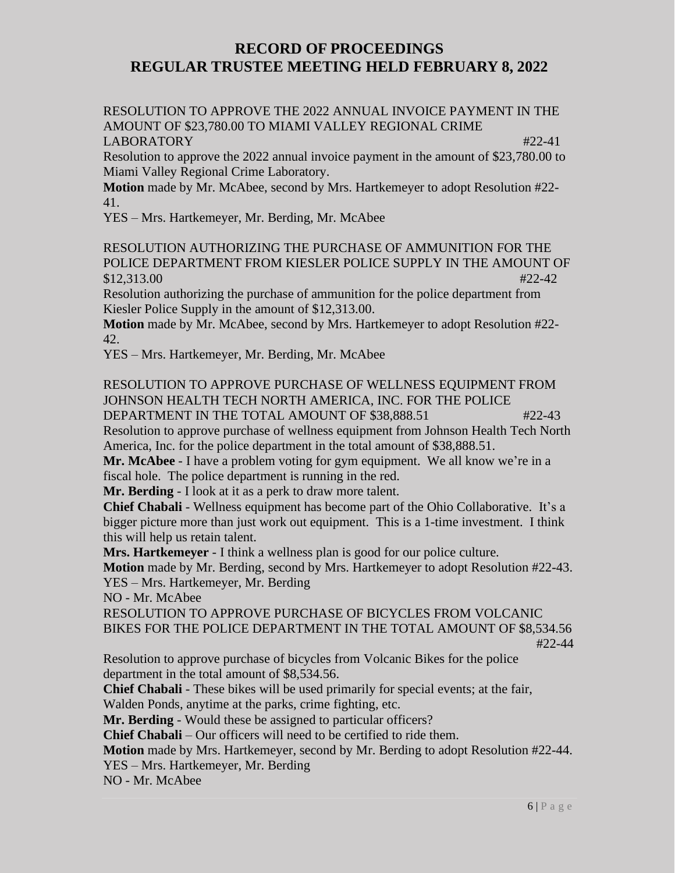RESOLUTION TO APPROVE THE 2022 ANNUAL INVOICE PAYMENT IN THE AMOUNT OF \$23,780.00 TO MIAMI VALLEY REGIONAL CRIME LABORATORY **#22-41** 

Resolution to approve the 2022 annual invoice payment in the amount of \$23,780.00 to Miami Valley Regional Crime Laboratory.

**Motion** made by Mr. McAbee, second by Mrs. Hartkemeyer to adopt Resolution #22- 41.

YES – Mrs. Hartkemeyer, Mr. Berding, Mr. McAbee

RESOLUTION AUTHORIZING THE PURCHASE OF AMMUNITION FOR THE POLICE DEPARTMENT FROM KIESLER POLICE SUPPLY IN THE AMOUNT OF  $$12,313.00$   $\#22-42$ 

Resolution authorizing the purchase of ammunition for the police department from Kiesler Police Supply in the amount of \$12,313.00.

**Motion** made by Mr. McAbee, second by Mrs. Hartkemeyer to adopt Resolution #22- 42.

YES – Mrs. Hartkemeyer, Mr. Berding, Mr. McAbee

RESOLUTION TO APPROVE PURCHASE OF WELLNESS EQUIPMENT FROM JOHNSON HEALTH TECH NORTH AMERICA, INC. FOR THE POLICE

DEPARTMENT IN THE TOTAL AMOUNT OF \$38,888.51  $#22-43$ Resolution to approve purchase of wellness equipment from Johnson Health Tech North America, Inc. for the police department in the total amount of \$38,888.51.

**Mr. McAbee** - I have a problem voting for gym equipment. We all know we're in a fiscal hole. The police department is running in the red.

**Mr. Berding** - I look at it as a perk to draw more talent.

**Chief Chabali** - Wellness equipment has become part of the Ohio Collaborative. It's a bigger picture more than just work out equipment. This is a 1-time investment. I think this will help us retain talent.

**Mrs. Hartkemeyer** - I think a wellness plan is good for our police culture.

**Motion** made by Mr. Berding, second by Mrs. Hartkemeyer to adopt Resolution #22-43. YES – Mrs. Hartkemeyer, Mr. Berding

NO - Mr. McAbee

RESOLUTION TO APPROVE PURCHASE OF BICYCLES FROM VOLCANIC BIKES FOR THE POLICE DEPARTMENT IN THE TOTAL AMOUNT OF \$8,534.56 #22-44

Resolution to approve purchase of bicycles from Volcanic Bikes for the police department in the total amount of \$8,534.56.

**Chief Chabali** - These bikes will be used primarily for special events; at the fair, Walden Ponds, anytime at the parks, crime fighting, etc.

**Mr. Berding** - Would these be assigned to particular officers?

**Chief Chabali** – Our officers will need to be certified to ride them.

**Motion** made by Mrs. Hartkemeyer, second by Mr. Berding to adopt Resolution #22-44.

YES – Mrs. Hartkemeyer, Mr. Berding

NO - Mr. McAbee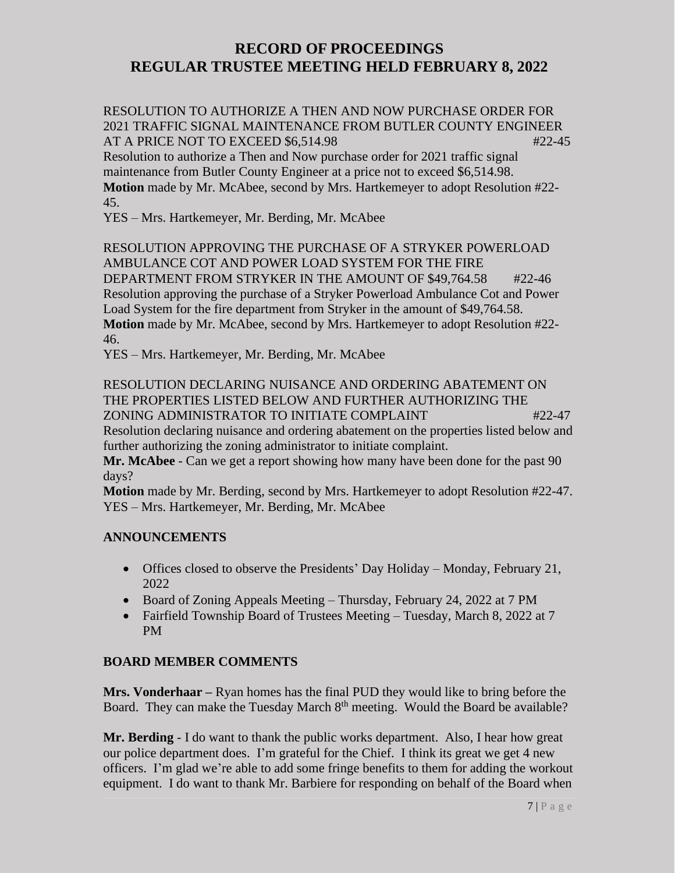RESOLUTION TO AUTHORIZE A THEN AND NOW PURCHASE ORDER FOR 2021 TRAFFIC SIGNAL MAINTENANCE FROM BUTLER COUNTY ENGINEER AT A PRICE NOT TO EXCEED \$6,514.98 #22-45

Resolution to authorize a Then and Now purchase order for 2021 traffic signal maintenance from Butler County Engineer at a price not to exceed \$6,514.98. **Motion** made by Mr. McAbee, second by Mrs. Hartkemeyer to adopt Resolution #22- 45.

YES – Mrs. Hartkemeyer, Mr. Berding, Mr. McAbee

RESOLUTION APPROVING THE PURCHASE OF A STRYKER POWERLOAD AMBULANCE COT AND POWER LOAD SYSTEM FOR THE FIRE DEPARTMENT FROM STRYKER IN THE AMOUNT OF \$49,764.58 #22-46 Resolution approving the purchase of a Stryker Powerload Ambulance Cot and Power Load System for the fire department from Stryker in the amount of \$49,764.58. **Motion** made by Mr. McAbee, second by Mrs. Hartkemeyer to adopt Resolution #22- 46.

YES – Mrs. Hartkemeyer, Mr. Berding, Mr. McAbee

RESOLUTION DECLARING NUISANCE AND ORDERING ABATEMENT ON THE PROPERTIES LISTED BELOW AND FURTHER AUTHORIZING THE ZONING ADMINISTRATOR TO INITIATE COMPLAINT #22-47

Resolution declaring nuisance and ordering abatement on the properties listed below and further authorizing the zoning administrator to initiate complaint.

**Mr. McAbee** - Can we get a report showing how many have been done for the past 90 days?

**Motion** made by Mr. Berding, second by Mrs. Hartkemeyer to adopt Resolution #22-47. YES – Mrs. Hartkemeyer, Mr. Berding, Mr. McAbee

### **ANNOUNCEMENTS**

- Offices closed to observe the Presidents' Day Holiday Monday, February 21, 2022
- Board of Zoning Appeals Meeting Thursday, February 24, 2022 at 7 PM
- Fairfield Township Board of Trustees Meeting Tuesday, March 8, 2022 at 7 PM

### **BOARD MEMBER COMMENTS**

**Mrs. Vonderhaar –** Ryan homes has the final PUD they would like to bring before the Board. They can make the Tuesday March  $8<sup>th</sup>$  meeting. Would the Board be available?

**Mr. Berding** - I do want to thank the public works department. Also, I hear how great our police department does. I'm grateful for the Chief. I think its great we get 4 new officers. I'm glad we're able to add some fringe benefits to them for adding the workout equipment. I do want to thank Mr. Barbiere for responding on behalf of the Board when